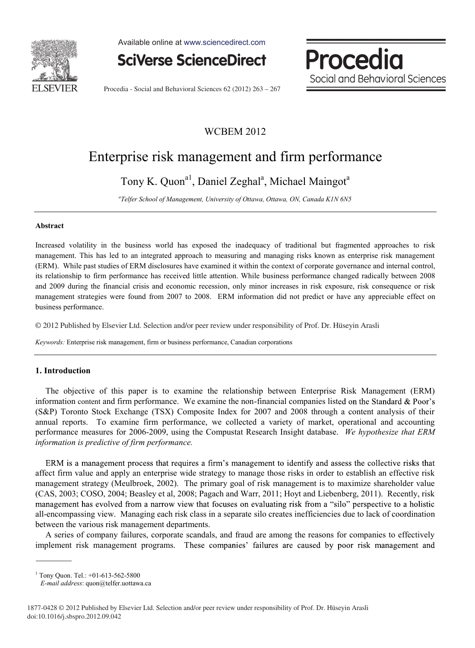

Available online at www.sciencedirect.com



Procedia Social and Behavioral Sciences

Procedia - Social and Behavioral Sciences 62 (2012) 263 – 267

# WCBEM 2012

# Enterprise risk management and firm performance

Tony K. Quon<sup>a1</sup>, Daniel Zeghal<sup>a</sup>, Michael Maingot<sup>a</sup>

*a Telfer School of Management, University of Ottawa, Ottawa, ON, Canada K1N 6N5* 

#### **Abstract**

Increased volatility in the business world has exposed the inadequacy of traditional but fragmented approaches to risk management. This has led to an integrated approach to measuring and managing risks known as enterprise risk management (ERM). While past studies of ERM disclosures have examined it within the context of corporate governance and internal control, its relationship to firm performance has received little attention. While business performance changed radically between 2008 and 2009 during the financial crisis and economic recession, only minor increases in risk exposure, risk consequence or risk management strategies were found from 2007 to 2008. ERM information did not predict or have any appreciable effect on business performance.

© 2012 Published by Elsevier Ltd. Selection and/or peer review under responsibility of Prof. Dr. Huseyin Arasli © 2012 Published by Elsevier Ltd. Selection and/or peer review under responsibility of Prof. Dr. Hüseyin Arasli

*Keywords:* Enterprise risk management, firm or business performance, Canadian corporations

# **1. Introduction**

The objective of this paper is to examine the relationship between Enterprise Risk Management (ERM) information content and firm performance. We examine the non-financial companies listed on the Standard  $& Poor's$ (S&P) Toronto Stock Exchange (TSX) Composite Index for 2007 and 2008 through a content analysis of their annual reports. To examine firm performance, we collected a variety of market, operational and accounting performance measures for 2006-2009, using the Compustat Research Insight database. *We hypothesize that ERM information is predictive of firm performance.* 

ERM is a management process that requires a firm's management to identify and assess the collective risks that affect firm value and apply an enterprise wide strategy to manage those risks in order to establish an effective risk management strategy (Meulbroek, 2002). The primary goal of risk management is to maximize shareholder value (CAS, 2003; COSO, 2004; Beasley et al, 2008; Pagach and Warr, 2011; Hoyt and Liebenberg, 2011). Recently, risk management has evolved from a narrow view that focuses on evaluating risk from a "silo" perspective to a holistic all-encompassing view. Managing each risk class in a separate silo creates inefficiencies due to lack of coordination between the various risk management departments.

A series of company failures, corporate scandals, and fraud are among the reasons for companies to effectively implement risk management programs. These companies' failures are caused by poor risk management and

<sup>1</sup> Tony Quon. Tel.: +01-613-562-5800

 *E-mail address*: quon@telfer.uottawa.ca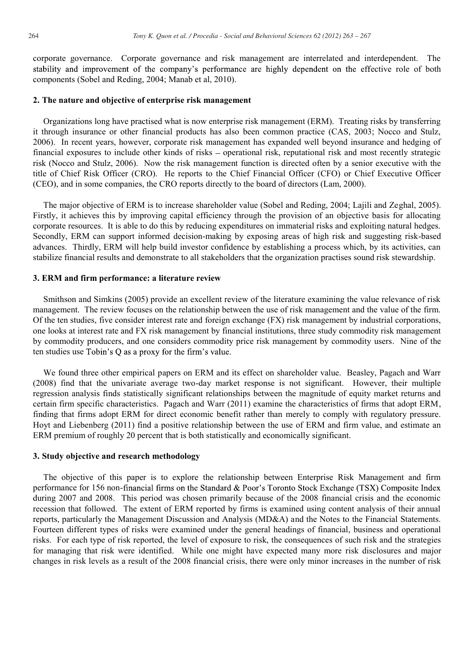corporate governance. Corporate governance and risk management are interrelated and interdependent. The stability and improvement of the company's performance are highly dependent on the effective role of both components (Sobel and Reding, 2004; Manab et al, 2010).

#### **2. The nature and objective of enterprise risk management**

Organizations long have practised what is now enterprise risk management (ERM). Treating risks by transferring it through insurance or other financial products has also been common practice (CAS, 2003; Nocco and Stulz, 2006). In recent years, however, corporate risk management has expanded well beyond insurance and hedging of financial exposures to include other kinds of risks – operational risk, reputational risk and most recently strategic risk (Nocco and Stulz, 2006). Now the risk management function is directed often by a senior executive with the title of Chief Risk Officer (CRO). He reports to the Chief Financial Officer (CFO) or Chief Executive Officer (CEO), and in some companies, the CRO reports directly to the board of directors (Lam, 2000).

The major objective of ERM is to increase shareholder value (Sobel and Reding, 2004; Lajili and Zeghal, 2005). Firstly, it achieves this by improving capital efficiency through the provision of an objective basis for allocating corporate resources. It is able to do this by reducing expenditures on immaterial risks and exploiting natural hedges. Secondly, ERM can support informed decision-making by exposing areas of high risk and suggesting risk-based advances. Thirdly, ERM will help build investor confidence by establishing a process which, by its activities, can stabilize financial results and demonstrate to all stakeholders that the organization practises sound risk stewardship.

#### **3. ERM and firm performance: a literature review**

Smithson and Simkins (2005) provide an excellent review of the literature examining the value relevance of risk management. The review focuses on the relationship between the use of risk management and the value of the firm. Of the ten studies, five consider interest rate and foreign exchange (FX) risk management by industrial corporations, one looks at interest rate and FX risk management by financial institutions, three study commodity risk management by commodity producers, and one considers commodity price risk management by commodity users. Nine of the ten studies use Tobin's Q as a proxy for the firm's value.

We found three other empirical papers on ERM and its effect on shareholder value. Beasley, Pagach and Warr (2008) find that the univariate average two-day market response is not significant. However, their multiple regression analysis finds statistically significant relationships between the magnitude of equity market returns and certain firm specific characteristics. Pagach and Warr (2011) examine the characteristics of firms that adopt ERM, finding that firms adopt ERM for direct economic benefit rather than merely to comply with regulatory pressure. Hoyt and Liebenberg (2011) find a positive relationship between the use of ERM and firm value, and estimate an ERM premium of roughly 20 percent that is both statistically and economically significant.

#### **3. Study objective and research methodology**

The objective of this paper is to explore the relationship between Enterprise Risk Management and firm performance for 156 non-financial firms on the Standard & Poor's Toronto Stock Exchange (TSX) Composite Index during 2007 and 2008. This period was chosen primarily because of the 2008 financial crisis and the economic recession that followed. The extent of ERM reported by firms is examined using content analysis of their annual reports, particularly the Management Discussion and Analysis (MD&A) and the Notes to the Financial Statements. Fourteen different types of risks were examined under the general headings of financial, business and operational risks. For each type of risk reported, the level of exposure to risk, the consequences of such risk and the strategies for managing that risk were identified. While one might have expected many more risk disclosures and major changes in risk levels as a result of the 2008 financial crisis, there were only minor increases in the number of risk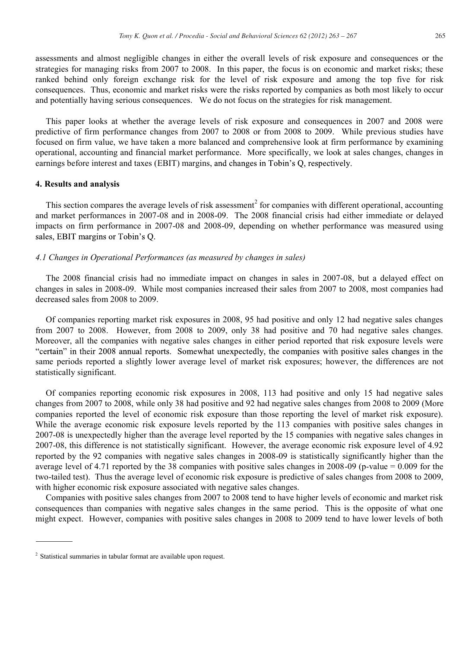assessments and almost negligible changes in either the overall levels of risk exposure and consequences or the strategies for managing risks from 2007 to 2008. In this paper, the focus is on economic and market risks; these ranked behind only foreign exchange risk for the level of risk exposure and among the top five for risk consequences. Thus, economic and market risks were the risks reported by companies as both most likely to occur and potentially having serious consequences. We do not focus on the strategies for risk management.

This paper looks at whether the average levels of risk exposure and consequences in 2007 and 2008 were predictive of firm performance changes from 2007 to 2008 or from 2008 to 2009. While previous studies have focused on firm value, we have taken a more balanced and comprehensive look at firm performance by examining operational, accounting and financial market performance. More specifically, we look at sales changes, changes in earnings before interest and taxes (EBIT) margins, and changes in Tobin's Q, respectively.

## **4. Results and analysis**

This section compares the average levels of risk assessment<sup>2</sup> for companies with different operational, accounting and market performances in 2007-08 and in 2008-09. The 2008 financial crisis had either immediate or delayed impacts on firm performance in 2007-08 and 2008-09, depending on whether performance was measured using sales, EBIT margins or Tobin's Q.

# *4.1 Changes in Operational Performances (as measured by changes in sales)*

The 2008 financial crisis had no immediate impact on changes in sales in 2007-08, but a delayed effect on changes in sales in 2008-09. While most companies increased their sales from 2007 to 2008, most companies had decreased sales from 2008 to 2009.

Of companies reporting market risk exposures in 2008, 95 had positive and only 12 had negative sales changes from 2007 to 2008. However, from 2008 to 2009, only 38 had positive and 70 had negative sales changes. Moreover, all the companies with negative sales changes in either period reported that risk exposure levels were "certain" in their 2008 annual reports. Somewhat unexpectedly, the companies with positive sales changes in the same periods reported a slightly lower average level of market risk exposures; however, the differences are not statistically significant.

Of companies reporting economic risk exposures in 2008, 113 had positive and only 15 had negative sales changes from 2007 to 2008, while only 38 had positive and 92 had negative sales changes from 2008 to 2009 (More companies reported the level of economic risk exposure than those reporting the level of market risk exposure). While the average economic risk exposure levels reported by the 113 companies with positive sales changes in 2007-08 is unexpectedly higher than the average level reported by the 15 companies with negative sales changes in 2007-08, this difference is not statistically significant. However, the average economic risk exposure level of 4.92 reported by the 92 companies with negative sales changes in 2008-09 is statistically significantly higher than the average level of 4.71 reported by the 38 companies with positive sales changes in 2008-09 (p-value = 0.009 for the two-tailed test). Thus the average level of economic risk exposure is predictive of sales changes from 2008 to 2009, with higher economic risk exposure associated with negative sales changes.

Companies with positive sales changes from 2007 to 2008 tend to have higher levels of economic and market risk consequences than companies with negative sales changes in the same period. This is the opposite of what one might expect. However, companies with positive sales changes in 2008 to 2009 tend to have lower levels of both

<sup>&</sup>lt;sup>2</sup> Statistical summaries in tabular format are available upon request.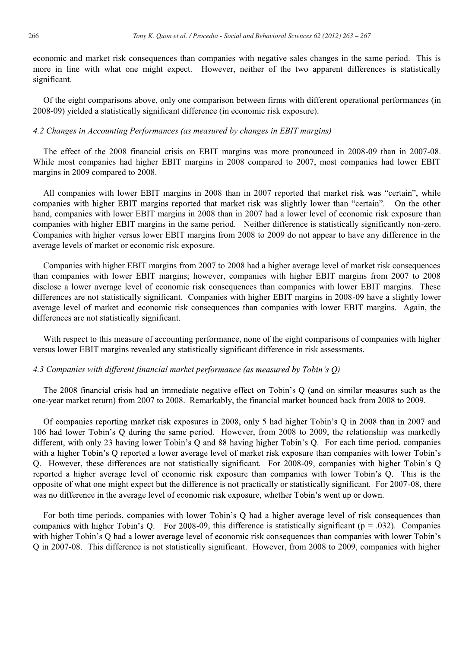economic and market risk consequences than companies with negative sales changes in the same period. This is more in line with what one might expect. However, neither of the two apparent differences is statistically significant.

Of the eight comparisons above, only one comparison between firms with different operational performances (in 2008-09) yielded a statistically significant difference (in economic risk exposure).

## *4.2 Changes in Accounting Performances (as measured by changes in EBIT margins)*

The effect of the 2008 financial crisis on EBIT margins was more pronounced in 2008-09 than in 2007-08. While most companies had higher EBIT margins in 2008 compared to 2007, most companies had lower EBIT margins in 2009 compared to 2008.

All companies with lower EBIT margins in 2008 than in 2007 reported that market risk was "certain", while companies with higher EBIT margins reported that market risk was slightly lower than "certain". On the other hand, companies with lower EBIT margins in 2008 than in 2007 had a lower level of economic risk exposure than companies with higher EBIT margins in the same period. Neither difference is statistically significantly non-zero. Companies with higher versus lower EBIT margins from 2008 to 2009 do not appear to have any difference in the average levels of market or economic risk exposure.

Companies with higher EBIT margins from 2007 to 2008 had a higher average level of market risk consequences than companies with lower EBIT margins; however, companies with higher EBIT margins from 2007 to 2008 disclose a lower average level of economic risk consequences than companies with lower EBIT margins. These differences are not statistically significant. Companies with higher EBIT margins in 2008-09 have a slightly lower average level of market and economic risk consequences than companies with lower EBIT margins. Again, the differences are not statistically significant.

With respect to this measure of accounting performance, none of the eight comparisons of companies with higher versus lower EBIT margins revealed any statistically significant difference in risk assessments.

# *4.3 Companies with different financial market p*

The 2008 financial crisis had an immediate negative effect on Tobin's Q (and on similar measures such as the one-year market return) from 2007 to 2008. Remarkably, the financial market bounced back from 2008 to 2009.

Of companies reporting market risk exposures in 2008, only 5 had higher Tobin's Q in 2008 than in 2007 and 106 had lower Tobin's Q during the same period. However, from 2008 to 2009, the relationship was markedly different, with only 23 having lower Tobin's Q and 88 having higher Tobin's Q. For each time period, companies with a higher Tobin's Q reported a lower average level of market risk exposure than companies with lower Tobin's Q. However, these differences are not statistically significant.For 2008 reported a higher average level of economic risk exposure than companies with lower Tobin's Q. This is the opposite of what one might expect but the difference is not practically or statistically significant. For 2007-08, there was no difference in the average level of economic risk exposure, whether Tobin's went up or down.

For both time periods, companies with lower Tobin's Q had a higher average level of risk consequences than companies with higher Tobin's Q. For 2008-09, this difference is statistically significant ( $p = .032$ ). Companies with higher Tobin's Q had a lower average level of economic risk consequences than companies with lower Tobin's Q in 2007-08. This difference is not statistically significant. However, from 2008 to 2009, companies with higher